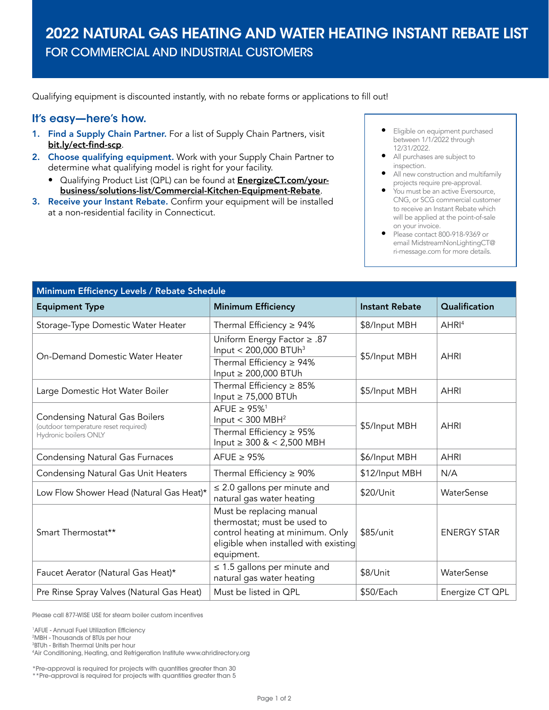## 2022 NATURAL GAS HEATING AND WATER HEATING INSTANT REBATE LIST FOR COMMERCIAL AND INDUSTRIAL CUSTOMERS

Qualifying equipment is discounted instantly, with no rebate forms or applications to fill out!

## It's easy—here's how.

- 1. Find a Supply Chain Partner. For a list of Supply Chain Partners, visit [bit.ly/ect-find-scp](https://bit.ly/ect-find-scp).
- 2. Choose qualifying equipment. Work with your Supply Chain Partner to determine what qualifying model is right for your facility.
	- Qualifying Product List (QPL) can be found at [EnergizeCT.com/your](https://www.energizect.com/your-business/solutions-list/Commercial-Kitchen-Equipment-Rebate)[business/solutions-list/Commercial-Kitchen-Equipment-Rebate](https://www.energizect.com/your-business/solutions-list/Commercial-Kitchen-Equipment-Rebate).
- 3. Receive your Instant Rebate. Confirm your equipment will be installed at a non-residential facility in Connecticut.
- Eligible on equipment purchased between 1/1/2022 through 12/31/2022.
- All purchases are subject to inspection.
- All new construction and multifamily projects require pre-approval.
- You must be an active Eversource, CNG, or SCG commercial customer to receive an Instant Rebate which will be applied at the point-of-sale on your invoice.
- Please contact 800-918-9369 or email [MidstreamNonLightingCT@](mailto:MidstreamNonLightingCT%40ri-message.com?subject=) [ri-message.com](mailto:MidstreamNonLightingCT%40ri-message.com?subject=) for more details.

| Minimum Efficiency Levels / Rebate Schedule                                                            |                                                                                                                                                    |                       |                    |  |
|--------------------------------------------------------------------------------------------------------|----------------------------------------------------------------------------------------------------------------------------------------------------|-----------------------|--------------------|--|
| <b>Equipment Type</b>                                                                                  | <b>Minimum Efficiency</b>                                                                                                                          | <b>Instant Rebate</b> | Qualification      |  |
| Storage-Type Domestic Water Heater                                                                     | Thermal Efficiency $\geq 94\%$                                                                                                                     | \$8/Input MBH         | AHRI <sup>4</sup>  |  |
| On-Demand Domestic Water Heater                                                                        | Uniform Energy Factor ≥ .87<br>Input < $200,000$ BTUh <sup>3</sup><br>Thermal Efficiency $\geq 94\%$<br>Input $\geq$ 200,000 BTUh                  | \$5/Input MBH         | <b>AHRI</b>        |  |
| Large Domestic Hot Water Boiler                                                                        | Thermal Efficiency $\geq 85\%$<br>Input $\geq$ 75,000 BTUh                                                                                         | \$5/Input MBH         | <b>AHRI</b>        |  |
| <b>Condensing Natural Gas Boilers</b><br>(outdoor temperature reset required)<br>Hydronic boilers ONLY | AFUE $\geq$ 95% <sup>1</sup><br>Input $<$ 300 MBH <sup>2</sup><br>Thermal Efficiency $\geq$ 95%                                                    | \$5/Input MBH         | <b>AHRI</b>        |  |
|                                                                                                        | Input $\geq 300 \< 2,500 \text{ MBH}$                                                                                                              |                       |                    |  |
| <b>Condensing Natural Gas Furnaces</b>                                                                 | AFUE $\geq$ 95%                                                                                                                                    | \$6/Input MBH         | <b>AHRI</b>        |  |
| <b>Condensing Natural Gas Unit Heaters</b>                                                             | Thermal Efficiency $\geq 90\%$                                                                                                                     | \$12/Input MBH        | N/A                |  |
| Low Flow Shower Head (Natural Gas Heat)*                                                               | $\leq$ 2.0 gallons per minute and<br>natural gas water heating                                                                                     | \$20/Unit             | WaterSense         |  |
| Smart Thermostat**                                                                                     | Must be replacing manual<br>thermostat; must be used to<br>control heating at minimum. Only<br>eligible when installed with existing<br>equipment. | \$85/unit             | <b>ENERGY STAR</b> |  |
| Faucet Aerator (Natural Gas Heat)*                                                                     | $\leq$ 1.5 gallons per minute and<br>natural gas water heating                                                                                     | \$8/Unit              | WaterSense         |  |
| Pre Rinse Spray Valves (Natural Gas Heat)                                                              | Must be listed in QPL                                                                                                                              | \$50/Each             | Energize CT QPL    |  |

Please call 877-WISE USE for steam boiler custom incentives

<sup>1</sup> AFUE - Annual Fuel Utilization Efficiency

<sup>2</sup>MBH - Thousands of BTUs per hour<br><sup>3</sup>RTUb - British Thermal Units per hou **BTUh - British Thermal Units per hour** 

4 Air Conditioning, Heating, and Refrigeration Institute [www.ahridirectory.org](http://www.ahridirectory.org)

\*Pre-approval is required for projects with quantities greater than 30

\*\*Pre-approval is required for projects with quantities greater than 5